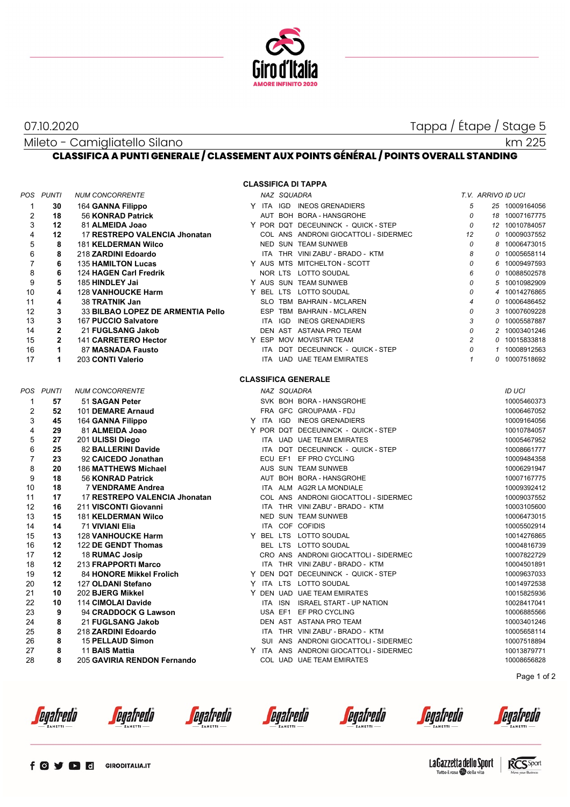

07.10.2020 Tappa / Étape / Stage 5

Mileto - Camigliatello Silano

km 225

# **CLASSIFICA A PUNTI GENERALE / CLASSEMENT AUX POINTS GÉNÉRAL / POINTS OVERALL STANDING**

| <b>CLASSIFICA DI TAPPA</b> |                |                                   |  |             |                                         |                |  |                    |  |  |  |
|----------------------------|----------------|-----------------------------------|--|-------------|-----------------------------------------|----------------|--|--------------------|--|--|--|
|                            | POS PUNTI      | <b>NUM CONCORRENTE</b>            |  | NAZ SQUADRA |                                         |                |  | T.V. ARRIVO ID UCI |  |  |  |
| 1                          | 30             | 164 GANNA Filippo                 |  |             | Y ITA IGD INEOS GRENADIERS              | 5              |  | 25 10009164056     |  |  |  |
| $\overline{2}$             | 18             | 56 KONRAD Patrick                 |  |             | AUT BOH BORA - HANSGROHE                | 0              |  | 18 10007167775     |  |  |  |
| 3                          | 12             | 81 ALMEIDA Joao                   |  |             | Y POR DQT DECEUNINCK - QUICK - STEP     | 0              |  | 12 10010784057     |  |  |  |
| 4                          | 12             | 17 RESTREPO VALENCIA Jhonatan     |  |             | COL ANS ANDRONI GIOCATTOLI - SIDERMEC   | 12             |  | 0 10009037552      |  |  |  |
| 5                          | 8              | <b>181 KELDERMAN Wilco</b>        |  |             | NED SUN TEAM SUNWEB                     | 0              |  | 8 10006473015      |  |  |  |
| 6                          | 8              | 218 ZARDINI Edoardo               |  |             | ITA THR VINI ZABU' - BRADO - KTM        | 8              |  | 0 10005658114      |  |  |  |
| 7                          | 6              | <b>135 HAMILTON Lucas</b>         |  |             | Y AUS MTS MITCHELTON - SCOTT            | 0              |  | 6 10009497593      |  |  |  |
| 8                          | 6              | 124 HAGEN Carl Fredrik            |  |             | NOR LTS LOTTO SOUDAL                    | 6              |  | 0 10088502578      |  |  |  |
| 9                          | 5              | 185 HINDLEY Jai                   |  |             | Y AUS SUN TEAM SUNWEB                   | 0              |  | 5 10010982909      |  |  |  |
| 10                         | 4              | <b>128 VANHOUCKE Harm</b>         |  |             | Y BEL LTS LOTTO SOUDAL                  | 0              |  | 4 10014276865      |  |  |  |
| 11                         | 4              | 38 TRATNIK Jan                    |  |             | SLO TBM BAHRAIN - MCLAREN               | $\overline{4}$ |  | 0 10006486452      |  |  |  |
| 12                         | 3              | 33 BILBAO LOPEZ DE ARMENTIA Pello |  |             | ESP TBM BAHRAIN - MCLAREN               | 0              |  | 3 10007609228      |  |  |  |
| 13                         | 3              | 167 PUCCIO Salvatore              |  | ITA IGD     | <b>INEOS GRENADIERS</b>                 | 3              |  | 0 10005587887      |  |  |  |
| 14                         | $\overline{2}$ | 21 FUGLSANG Jakob                 |  |             | DEN AST ASTANA PRO TEAM                 | 0              |  | 2 10003401246      |  |  |  |
| 15                         | $\overline{2}$ | 141 CARRETERO Hector              |  |             | Y ESP MOV MOVISTAR TEAM                 | $\overline{c}$ |  | 0 10015833818      |  |  |  |
| 16                         | 1              | 87 MASNADA Fausto                 |  |             | ITA DQT DECEUNINCK - QUICK - STEP       | 0              |  | 1 10008912563      |  |  |  |
| 17                         | 1              | 203 CONTI Valerio                 |  |             | ITA UAD UAE TEAM EMIRATES               | $\mathbf{1}$   |  | 0 10007518692      |  |  |  |
|                            |                |                                   |  |             |                                         |                |  |                    |  |  |  |
|                            |                |                                   |  |             | <b>CLASSIFICA GENERALE</b>              |                |  |                    |  |  |  |
|                            | POS PUNTI      | <b>NUM CONCORRENTE</b>            |  | NAZ SQUADRA |                                         |                |  | <b>ID UCI</b>      |  |  |  |
| $\mathbf{1}$               | 57             | 51 SAGAN Peter                    |  |             | SVK BOH BORA - HANSGROHE                |                |  | 10005460373        |  |  |  |
| $\overline{2}$             | 52             | 101 DEMARE Arnaud                 |  |             | FRA GFC GROUPAMA - FDJ                  |                |  | 10006467052        |  |  |  |
| 3                          | 45             | 164 GANNA Filippo                 |  |             | Y ITA IGD INEOS GRENADIERS              |                |  | 10009164056        |  |  |  |
| 4                          | 29             | 81 ALMEIDA Joao                   |  |             | Y POR DQT DECEUNINCK - QUICK - STEP     |                |  | 10010784057        |  |  |  |
| 5                          | 27             | 201 ULISSI Diego                  |  |             | ITA UAD UAE TEAM EMIRATES               |                |  | 10005467952        |  |  |  |
| 6                          | 25             | 82 BALLERINI Davide               |  |             | ITA DQT DECEUNINCK - QUICK - STEP       |                |  | 10008661777        |  |  |  |
| $\overline{7}$             | 23             | 92 CAICEDO Jonathan               |  |             | ECU EF1 EF PRO CYCLING                  |                |  | 10009484358        |  |  |  |
| 8                          | 20             | 186 MATTHEWS Michael              |  |             | AUS SUN TEAM SUNWEB                     |                |  | 10006291947        |  |  |  |
| 9                          | 18             | 56 KONRAD Patrick                 |  |             | AUT BOH BORA - HANSGROHE                |                |  | 10007167775        |  |  |  |
| 10                         | 18             | <b>7 VENDRAME Andrea</b>          |  |             | ITA ALM AG2R LA MONDIALE                |                |  | 10009392412        |  |  |  |
| 11                         | 17             | 17 RESTREPO VALENCIA Jhonatan     |  |             | COL ANS ANDRONI GIOCATTOLI - SIDERMEC   |                |  | 10009037552        |  |  |  |
| 12                         | 16             | 211 VISCONTI Giovanni             |  |             | ITA THR VINI ZABU' - BRADO - KTM        |                |  | 10003105600        |  |  |  |
| 13                         | 15             | <b>181 KELDERMAN Wilco</b>        |  |             | NED SUN TEAM SUNWEB                     |                |  | 10006473015        |  |  |  |
| 14                         | 14             | 71 VIVIANI Elia                   |  |             | ITA COF COFIDIS                         |                |  | 10005502914        |  |  |  |
| 15                         | 13             | <b>128 VANHOUCKE Harm</b>         |  |             | Y BEL LTS LOTTO SOUDAL                  |                |  | 10014276865        |  |  |  |
| 16                         | 12             | 122 DE GENDT Thomas               |  |             | BEL LTS LOTTO SOUDAL                    |                |  | 10004816739        |  |  |  |
| 17                         | 12             | 18 RUMAC Josip                    |  |             | CRO ANS ANDRONI GIOCATTOLI - SIDERMEC   |                |  | 10007822729        |  |  |  |
| 18                         | 12             | 213 FRAPPORTI Marco               |  |             | ITA THR VINI ZABU' - BRADO - KTM        |                |  | 10004501891        |  |  |  |
| 19                         | 12             | 84 HONORE Mikkel Frolich          |  |             | Y DEN DQT DECEUNINCK - QUICK - STEP     |                |  | 10009637033        |  |  |  |
| 20                         | 12             | 127 OLDANI Stefano                |  |             | Y ITA LTS LOTTO SOUDAL                  |                |  | 10014972538        |  |  |  |
| 21                         | 10             | 202 BJERG Mikkel                  |  |             | Y DEN UAD UAE TEAM EMIRATES             |                |  | 10015825936        |  |  |  |
| 22                         | 10             | 114 CIMOLAI Davide                |  | ITA ISN     | <b>ISRAEL START - UP NATION</b>         |                |  | 10028417041        |  |  |  |
| 23                         | 9              | 94 CRADDOCK G Lawson              |  |             | USA EF1 EF PRO CYCLING                  |                |  | 10006885566        |  |  |  |
| 24                         | 8              | 21 FUGLSANG Jakob                 |  |             | DEN AST ASTANA PRO TEAM                 |                |  | 10003401246        |  |  |  |
| 25                         | 8              | 218 ZARDINI Edoardo               |  |             | ITA THR VINI ZABU' - BRADO - KTM        |                |  | 10005658114        |  |  |  |
| 26                         | 8              | 15 PELLAUD Simon                  |  |             | SUI ANS ANDRONI GIOCATTOLI - SIDERMEC   |                |  | 10007518894        |  |  |  |
| 27                         | 8              | 11 BAIS Mattia                    |  |             | Y ITA ANS ANDRONI GIOCATTOLI - SIDERMEC |                |  | 10013879771        |  |  |  |
| 28                         | 8              | 205 GAVIRIA RENDON Fernando       |  |             | COL UAD UAE TEAM EMIRATES               |                |  | 10008656828        |  |  |  |
|                            |                |                                   |  |             |                                         |                |  | Page 1 of 2        |  |  |  |

*<u>egafredo</u>* 

*<u>egafredò</u>* 

*<u>egafredò</u>* 

*<u>egafredò</u>* 

*<u>egafredò</u>* 

*<u>egafredo</u>* 

egafredo